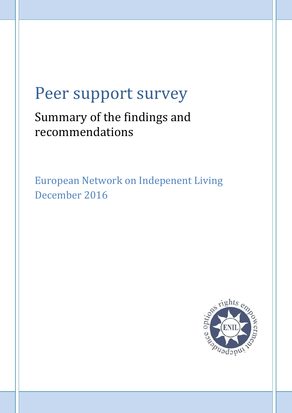# Peer support survey

# Summary of the findings and recommendations

European Network on Indepenent Living December 2016

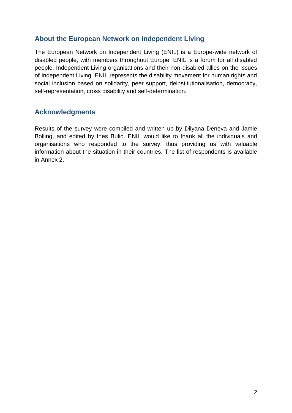# **About the European Network on Independent Living**

The European Network on Independent Living (ENIL) is a Europe-wide network of disabled people, with members throughout Europe. ENIL is a forum for all disabled people, Independent Living organisations and their non-disabled allies on the issues of Independent Living. ENIL represents the disability movement for human rights and social inclusion based on solidarity, peer support, deinstitutionalisation, democracy, self-representation, cross disability and self-determination.

# **Acknowledgments**

Results of the survey were compiled and written up by Dilyana Deneva and Jamie Bolling, and edited by Ines Bulic. ENIL would like to thank all the individuals and organisations who responded to the survey, thus providing us with valuable information about the situation in their countries. The list of respondents is available in Annex 2.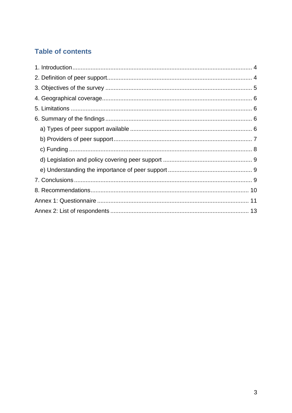# **Table of contents**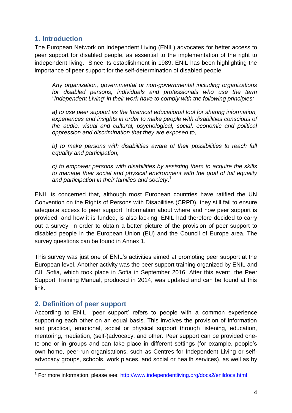# **1. Introduction**

The European Network on Independent Living (ENIL) advocates for better access to peer support for disabled people, as essential to the implementation of the right to independent living. Since its establishment in 1989, ENIL has been highlighting the importance of peer support for the self-determination of disabled people.

*Any organization, governmental or non-governmental including organizations for disabled persons, individuals and professionals who use the term "Independent Living' in their work have to comply with the following principles:*

*a) to use peer support as the foremost educational tool for sharing information,*  experiences and insights in order to make people with disabilities conscious of *the audio, visual and cultural, psychological, social, economic and political oppression and discrimination that they are exposed to,*

*b) to make persons with disabilities aware of their possibilities to reach full equality and participation,*

*c) to empower persons with disabilities by assisting them to acquire the skills to manage their social and physical environment with the goal of full equality and participation in their families and society*. 1

ENIL is concerned that, although most European countries have ratified the UN Convention on the Rights of Persons with Disabilities (CRPD), they still fail to ensure adequate access to peer support. Information about where and how peer support is provided, and how it is funded, is also lacking. ENIL had therefore decided to carry out a survey, in order to obtain a better picture of the provision of peer support to disabled people in the European Union (EU) and the Council of Europe area. The survey questions can be found in Annex 1.

This survey was just one of ENIL"s activities aimed at promoting peer support at the European level. Another activity was the peer support training organized by ENIL and CIL Sofia, which took place in Sofia in September 2016. After this event, the Peer Support Training Manual, produced in 2014, was updated and can be found at this link.

### **2. Definition of peer support**

According to ENIL, "peer support" refers to people with a common experience supporting each other on an equal basis. This involves the provision of information and practical, emotional, social or physical support through listening, education, mentoring, mediation, (self-)advocacy, and other. Peer support can be provided oneto-one or in groups and can take place in different settings (for example, people"s own home, peer-run organisations, such as Centres for Independent Living or selfadvocacy groups, schools, work places, and social or health services), as well as by

**<sup>.</sup>** <sup>1</sup> For more information, please see:<http://www.independentliving.org/docs2/enildocs.html>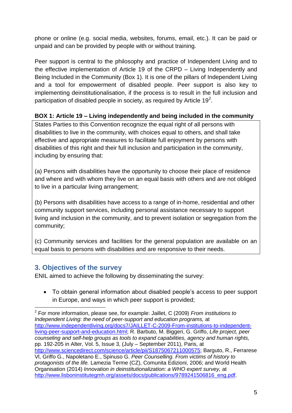phone or online (e.g. social media, websites, forums, email, etc.). It can be paid or unpaid and can be provided by people with or without training.

Peer support is central to the philosophy and practice of Independent Living and to the effective implementation of Article 19 of the CRPD – Living Independently and Being Included in the Community (Box 1). It is one of the pillars of Independent Living and a tool for empowerment of disabled people. Peer support is also key to implementing deinstitutionalisation, if the process is to result in the full inclusion and participation of disabled people in society, as required by Article 19<sup>2</sup>.

#### **BOX 1: Article 19 – Living independently and being included in the community**

States Parties to this Convention recognize the equal right of all persons with disabilities to live in the community, with choices equal to others, and shall take effective and appropriate measures to facilitate full enjoyment by persons with disabilities of this right and their full inclusion and participation in the community, including by ensuring that:

(a) Persons with disabilities have the opportunity to choose their place of residence and where and with whom they live on an equal basis with others and are not obliged to live in a particular living arrangement;

(b) Persons with disabilities have access to a range of in-home, residential and other community support services, including personal assistance necessary to support living and inclusion in the community, and to prevent isolation or segregation from the community;

(c) Community services and facilities for the general population are available on an equal basis to persons with disabilities and are responsive to their needs.

### **3. Objectives of the survey**

1

ENIL aimed to achieve the following by disseminating the survey:

 To obtain general information about disabled people"s access to peer support in Europe, and ways in which peer support is provided;

<sup>2</sup> For more information, please see, for example: Jaillet, C (2009) *From institutions to Independent Living: the need of peer-support and education programs,* at [http://www.independentliving.org/docs7/JAILLET-C-2009-From-institutions-to-independent](http://www.independentliving.org/docs7/JAILLET-C-2009-From-institutions-to-independent-living-peer-support-and-education.html)[living-peer-support-and-education.html;](http://www.independentliving.org/docs7/JAILLET-C-2009-From-institutions-to-independent-living-peer-support-and-education.html) R. Barbuto, M. Biggeri, G. Griffo, *Life project, peer counseling and self-help groups as tools to expand capabilities, agency and human rights,*  pp. 192-205 in Alter, Vol. 5, Issue 3, (July – September 2011), Paris, at [http://www.sciencedirect.com/science/article/pii/S1875067211000575;](http://www.sciencedirect.com/science/article/pii/S1875067211000575) Barguto, R., Ferrarese Vl, Griffo G., Napoletano E., Spinuso G. *Peer Counselling. From victims of history to protagonists of the life.* Lamezia Terme (CZ), Comunita Edizioni, 2006; and World Health Organisation (2014) *Innovation in deinstitutionalization: a WHO expert survey,* at http://www.lisboninstitutegmh.org/assets/docs/publications/9789241506816\_eng.pdf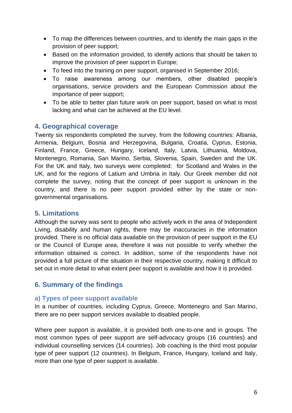- To map the differences between countries, and to identify the main gaps in the provision of peer support;
- Based on the information provided, to identify actions that should be taken to improve the provision of peer support in Europe;
- To feed into the training on peer support, organised in September 2016;
- To raise awareness among our members, other disabled people"s organisations, service providers and the European Commission about the importance of peer support;
- To be able to better plan future work on peer support, based on what is most lacking and what can be achieved at the EU level.

#### **4. Geographical coverage**

Twenty six respondents completed the survey, from the following countries: Albania, Armenia, Belgium, Bosnia and Herzegovina, Bulgaria, Croatia, Cyprus, Estonia, Finland, France, Greece, Hungary, Iceland, Italy, Latvia, Lithuania, Moldova, Montenegro, Romania, San Marino, Serbia, Slovenia, Spain, Sweden and the UK. For the UK and Italy, two surveys were completed: for Scotland and Wales in the UK, and for the regions of Latium and Umbria in Italy. Our Greek member did not complete the survey, noting that the concept of peer support is unknown in the country, and there is no peer support provided either by the state or nongovernmental organisations.

### **5. Limitations**

Although the survey was sent to people who actively work in the area of Independent Living, disability and human rights, there may be inaccuracies in the information provided. There is no official data available on the provision of peer support in the EU or the Council of Europe area, therefore it was not possible to verify whether the information obtained is correct. In addition, some of the respondents have not provided a full picture of the situation in their respective country, making it difficult to set out in more detail to what extent peer support is available and how it is provided.

### **6. Summary of the findings**

#### **a) Types of peer support available**

In a number of countries, including Cyprus, Greece, Montenegro and San Marino, there are no peer support services available to disabled people.

Where peer support is available, it is provided both one-to-one and in groups. The most common types of peer support are self-advocacy groups (16 countries) and individual counselling services (14 countries). Job coaching is the third most popular type of peer support (12 countries). In Belgium, France, Hungary, Iceland and Italy, more than one type of peer support is available.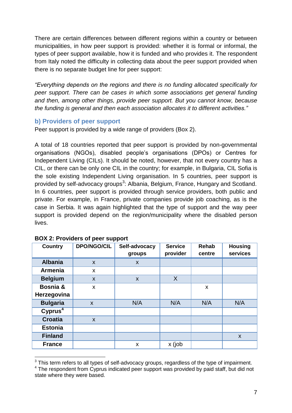There are certain differences between different regions within a country or between municipalities, in how peer support is provided: whether it is formal or informal, the types of peer support available, how it is funded and who provides it. The respondent from Italy noted the difficulty in collecting data about the peer support provided when there is no separate budget line for peer support:

*"Everything depends on the regions and there is no funding allocated specifically for peer support. There can be cases in which some associations get general funding and then, among other things, provide peer support. But you cannot know, because the funding is general and then each association allocates it to different activities."*

#### **b) Providers of peer support**

Peer support is provided by a wide range of providers (Box 2).

A total of 18 countries reported that peer support is provided by non-governmental organisations (NGOs), disabled people"s organisations (DPOs) or Centres for Independent Living (CILs). It should be noted, however, that not every country has a CIL, or there can be only one CIL in the country; for example, in Bulgaria, CIL Sofia is the sole existing Independent Living organisation. In 5 countries, peer support is provided by self-advocacy groups<sup>3</sup>: Albania, Belgium, France, Hungary and Scotland. In 6 countries, peer support is provided through service providers, both public and private. For example, in France, private companies provide job coaching, as is the case in Serbia. It was again highlighted that the type of support and the way peer support is provided depend on the region/municipality where the disabled person lives.

| <b>Country</b>      | <b>DPO/NGO/CIL</b>        | Self-advocacy | <b>Service</b> | <b>Rehab</b> | <b>Housing</b> |
|---------------------|---------------------------|---------------|----------------|--------------|----------------|
|                     |                           | groups        | provider       | centre       | services       |
| <b>Albania</b>      | $\boldsymbol{\mathsf{x}}$ | X             |                |              |                |
| <b>Armenia</b>      | X                         |               |                |              |                |
| <b>Belgium</b>      | X                         | X             | X              |              |                |
| Bosnia &            | X                         |               |                | X            |                |
| Herzegovina         |                           |               |                |              |                |
| <b>Bulgaria</b>     | X                         | N/A           | N/A            | N/A          | N/A            |
| Cyprus <sup>4</sup> |                           |               |                |              |                |
| <b>Croatia</b>      | $\mathsf{x}$              |               |                |              |                |
| <b>Estonia</b>      |                           |               |                |              |                |
| <b>Finland</b>      |                           |               |                |              | $\mathsf{x}$   |
| <b>France</b>       |                           | X             | x (job         |              |                |

1

 $3$  This term refers to all types of self-advocacy groups, regardless of the type of impairment. <sup>4</sup> The respondent from Cyprus indicated peer support was provided by paid staff, but did not state where they were based.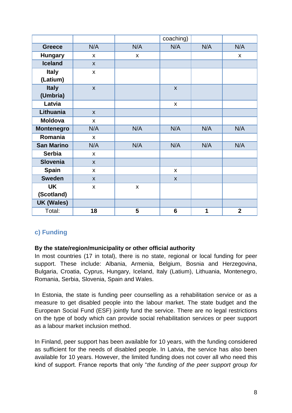|                   |                           |              | coaching)          |     |                    |
|-------------------|---------------------------|--------------|--------------------|-----|--------------------|
| <b>Greece</b>     | N/A                       | N/A          | N/A                | N/A | N/A                |
| <b>Hungary</b>    | $\boldsymbol{\mathsf{x}}$ | X            |                    |     | $\pmb{\mathsf{X}}$ |
| <b>Iceland</b>    | $\mathsf{x}$              |              |                    |     |                    |
| <b>Italy</b>      | $\mathsf{x}$              |              |                    |     |                    |
| (Latium)          |                           |              |                    |     |                    |
| <b>Italy</b>      | $\boldsymbol{\mathsf{X}}$ |              | $\boldsymbol{X}$   |     |                    |
| (Umbria)          |                           |              |                    |     |                    |
| Latvia            |                           |              | $\pmb{\mathsf{X}}$ |     |                    |
| Lithuania         | $\mathsf{x}$              |              |                    |     |                    |
| <b>Moldova</b>    | $\mathsf{x}$              |              |                    |     |                    |
| <b>Montenegro</b> | N/A                       | N/A          | N/A                | N/A | N/A                |
| Romania           | $\mathsf{x}$              |              |                    |     |                    |
| <b>San Marino</b> | N/A                       | N/A          | N/A                | N/A | N/A                |
| <b>Serbia</b>     | $\mathsf{x}$              |              |                    |     |                    |
| <b>Slovenia</b>   | $\mathsf{x}$              |              |                    |     |                    |
| <b>Spain</b>      | $\mathsf{x}$              |              | X                  |     |                    |
| <b>Sweden</b>     | X                         |              | X                  |     |                    |
| <b>UK</b>         | X                         | $\mathsf{x}$ |                    |     |                    |
| (Scotland)        |                           |              |                    |     |                    |
| <b>UK (Wales)</b> |                           |              |                    |     |                    |
| Total:            | 18                        | 5            | $6\phantom{1}$     | 1   | $\overline{2}$     |

# **c) Funding**

#### **By the state/region/municipality or other official authority**

In most countries (17 in total), there is no state, regional or local funding for peer support. These include: Albania, Armenia, Belgium, Bosnia and Herzegovina, Bulgaria, Croatia, Cyprus, Hungary, Iceland, Italy (Latium), Lithuania, Montenegro, Romania, Serbia, Slovenia, Spain and Wales.

In Estonia, the state is funding peer counselling as a rehabilitation service or as a measure to get disabled people into the labour market. The state budget and the European Social Fund (ESF) jointly fund the service. There are no legal restrictions on the type of body which can provide social rehabilitation services or peer support as a labour market inclusion method.

In Finland, peer support has been available for 10 years, with the funding considered as sufficient for the needs of disabled people. In Latvia, the service has also been available for 10 years. However, the limited funding does not cover all who need this kind of support. France reports that only "*the funding of the peer support group for*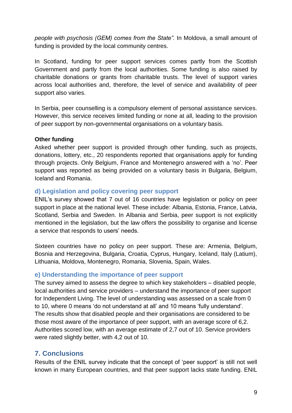*people with psychosis (GEM) comes from the State".* In Moldova, a small amount of funding is provided by the local community centres.

In Scotland, funding for peer support services comes partly from the Scottish Government and partly from the local authorities. Some funding is also raised by charitable donations or grants from charitable trusts. The level of support varies across local authorities and, therefore, the level of service and availability of peer support also varies.

In Serbia, peer counselling is a compulsory element of personal assistance services. However, this service receives limited funding or none at all, leading to the provision of peer support by non-governmental organisations on a voluntary basis.

#### **Other funding**

Asked whether peer support is provided through other funding, such as projects, donations, lottery, etc., 20 respondents reported that organisations apply for funding through projects. Only Belgium, France and Montenegro answered with a "no". Peer support was reported as being provided on a voluntary basis in Bulgaria, Belgium, Iceland and Romania.

#### **d) Legislation and policy covering peer support**

ENIL"s survey showed that 7 out of 16 countries have legislation or policy on peer support in place at the national level. These include: Albania, Estonia, France, Latvia, Scotland, Serbia and Sweden. In Albania and Serbia, peer support is not explicitly mentioned in the legislation, but the law offers the possibility to organise and license a service that responds to users' needs.

Sixteen countries have no policy on peer support. These are: Armenia, Belgium, Bosnia and Herzegovina, Bulgaria, Croatia, Cyprus, Hungary, Iceland, Italy (Latium), Lithuania, Moldova, Montenegro, Romania, Slovenia, Spain, Wales.

#### **e) Understanding the importance of peer support**

The survey aimed to assess the degree to which key stakeholders – disabled people, local authorities and service providers – understand the importance of peer support for Independent Living. The level of understanding was assessed on a scale from 0 to 10, where 0 means "do not understand at all" and 10 means "fully understand". The results show that disabled people and their organisations are considered to be those most aware of the importance of peer support, with an average score of 6,2. Authorities scored low, with an average estimate of 2,7 out of 10. Service providers were rated slightly better, with 4,2 out of 10.

### **7. Conclusions**

Results of the ENIL survey indicate that the concept of "peer support" is still not well known in many European countries, and that peer support lacks state funding. ENIL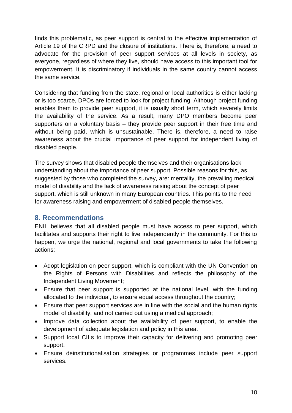finds this problematic, as peer support is central to the effective implementation of Article 19 of the CRPD and the closure of institutions. There is, therefore, a need to advocate for the provision of peer support services at all levels in society, as everyone, regardless of where they live, should have access to this important tool for empowerment. It is discriminatory if individuals in the same country cannot access the same service.

Considering that funding from the state, regional or local authorities is either lacking or is too scarce, DPOs are forced to look for project funding. Although project funding enables them to provide peer support, it is usually short term, which severely limits the availability of the service. As a result, many DPO members become peer supporters on a voluntary basis – they provide peer support in their free time and without being paid, which is unsustainable. There is, therefore, a need to raise awareness about the crucial importance of peer support for independent living of disabled people.

The survey shows that disabled people themselves and their organisations lack understanding about the importance of peer support. Possible reasons for this, as suggested by those who completed the survey, are: mentality, the prevailing medical model of disability and the lack of awareness raising about the concept of peer support, which is still unknown in many European countries. This points to the need for awareness raising and empowerment of disabled people themselves.

#### **8. Recommendations**

ENIL believes that all disabled people must have access to peer support, which facilitates and supports their right to live independently in the community. For this to happen, we urge the national, regional and local governments to take the following actions:

- Adopt legislation on peer support, which is compliant with the UN Convention on the Rights of Persons with Disabilities and reflects the philosophy of the Independent Living Movement;
- Ensure that peer support is supported at the national level, with the funding allocated to the individual, to ensure equal access throughout the country;
- Ensure that peer support services are in line with the social and the human rights model of disability, and not carried out using a medical approach;
- Improve data collection about the availability of peer support, to enable the development of adequate legislation and policy in this area.
- Support local CILs to improve their capacity for delivering and promoting peer support.
- Ensure deinstitutionalisation strategies or programmes include peer support services.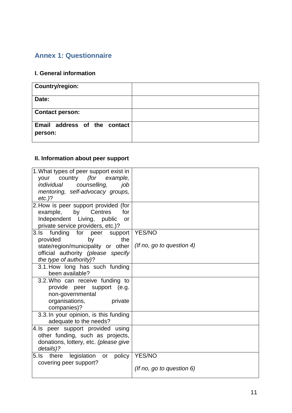# **Annex 1: Questionnaire**

#### **I. General information**

| <b>Country/region:</b>                  |  |
|-----------------------------------------|--|
| Date:                                   |  |
| <b>Contact person:</b>                  |  |
| Email address of the contact<br>person: |  |

# **II. Information about peer support**

| 1. What types of peer support exist in<br>your country (for<br>example, |                              |
|-------------------------------------------------------------------------|------------------------------|
| individual counselling,<br>job                                          |                              |
| mentoring, self-advocacy groups,                                        |                              |
| $etc.$ )?                                                               |                              |
| 2. How is peer support provided (for                                    |                              |
| example,<br>Centres<br>by<br>for                                        |                              |
| Independent Living, public<br>or                                        |                              |
| private service providers, etc.)?                                       |                              |
| 3.Is funding for peer support                                           | <b>YES/NO</b>                |
| provided<br>by<br>the                                                   |                              |
| state/region/municipality or other                                      | (If no, go to question 4)    |
| official authority (please specify                                      |                              |
| the type of authority)?                                                 |                              |
| 3.1. How long has such funding                                          |                              |
| been available?                                                         |                              |
| 3.2. Who can receive funding to                                         |                              |
| provide peer support (e.g.                                              |                              |
| non-governmental                                                        |                              |
| organisations,<br>private                                               |                              |
| companies)?                                                             |                              |
| 3.3. In your opinion, is this funding                                   |                              |
| adequate to the needs?                                                  |                              |
| 4. Is peer support provided using                                       |                              |
| other funding, such as projects,                                        |                              |
| donations, lottery, etc. (please give                                   |                              |
| details)?                                                               |                              |
| legislation or policy<br>there<br>5.1s                                  | <b>YES/NO</b>                |
| covering peer support?                                                  |                              |
|                                                                         | (If no, go to question $6$ ) |
|                                                                         |                              |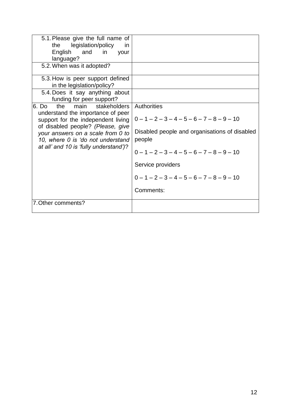| 5.1. Please give the full name of<br>the legislation/policy<br>-in<br>English and in your<br>language?<br>5.2. When was it adopted?                                                                                                                                       |                                                                                                                                                                                                                                                                 |
|---------------------------------------------------------------------------------------------------------------------------------------------------------------------------------------------------------------------------------------------------------------------------|-----------------------------------------------------------------------------------------------------------------------------------------------------------------------------------------------------------------------------------------------------------------|
| 5.3. How is peer support defined<br>in the legislation/policy?<br>5.4. Does it say anything about<br>funding for peer support?                                                                                                                                            |                                                                                                                                                                                                                                                                 |
| 16. Do<br>the<br>stakeholders<br>main<br>understand the importance of peer<br>support for the independent living<br>of disabled people? (Please, give<br>your answers on a scale from 0 to<br>10, where 0 is 'do not understand<br>at all' and 10 is 'fully understand')? | <b>Authorities</b><br>$0 - 1 - 2 - 3 - 4 - 5 - 6 - 7 - 8 - 9 - 10$<br>Disabled people and organisations of disabled<br>people<br>$0 - 1 - 2 - 3 - 4 - 5 - 6 - 7 - 8 - 9 - 10$<br>Service providers<br>$0 - 1 - 2 - 3 - 4 - 5 - 6 - 7 - 8 - 9 - 10$<br>Comments: |
| 7. Other comments?                                                                                                                                                                                                                                                        |                                                                                                                                                                                                                                                                 |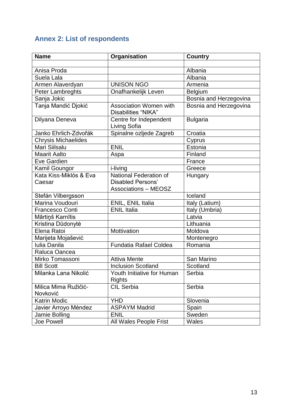# **Annex 2: List of respondents**

| <b>Name</b>                      | Organisation                                            | <b>Country</b>         |
|----------------------------------|---------------------------------------------------------|------------------------|
|                                  |                                                         |                        |
| Anisa Proda                      |                                                         | Albania                |
| Suela Lala                       |                                                         | Albania                |
| Armen Alaverdyan                 | <b>UNISON NGO</b>                                       | Armenia                |
| Peter Lambreghts                 | Onafhankelijk Leven                                     | <b>Belgium</b>         |
| Sanja Jokic                      |                                                         | Bosnia and Herzegovina |
| Tanja Mandić Djokić              | <b>Association Women with</b><br>Disabilities "NIKA"    | Bosnia and Herzegovina |
| Dilyana Deneva                   | Centre for Independent<br>Living Sofia                  | <b>Bulgaria</b>        |
| Janko Ehrlich-Zdvořák            | Spinalne ozljede Zagreb                                 | Croatia                |
| <b>Chrysis Michaelides</b>       |                                                         | Cyprus                 |
| Mari Siilsalu                    | <b>ENIL</b>                                             | Estonia                |
| <b>Maarit Aalto</b>              | Aspa                                                    | Finland                |
| Eve Gardien                      |                                                         | France                 |
| Kamil Goungor                    | i-living                                                | Greece                 |
| Kata Kiss-Miklós & Eva           | National Federation of                                  | Hungary                |
| Caesar                           | <b>Disabled Persons'</b><br><b>Associations - MEOSZ</b> |                        |
| Stefán Vilbergsson               |                                                         | Iceland                |
| Marina Voudouri                  | ENIL, ENIL Italia                                       | Italy (Latium)         |
| <b>Francesco Conti</b>           | <b>ENIL Italia</b>                                      | Italy (Umbria)         |
| Mārtiņš Karnītis                 |                                                         | Latvia                 |
| Kristina Dūdonytė                |                                                         | Lithuania              |
| Elena Ratoi                      | Mottivation                                             | Moldova                |
| Marijeta Mojašević               |                                                         | Montenegro             |
| <b>Iulia Danila</b>              | <b>Fundatia Rafael Coldea</b>                           | Romania                |
| Raluca Oancea                    |                                                         |                        |
| Mirko Tomassoni                  | <b>Attiva Mente</b>                                     | San Marino             |
| <b>Bill Scott</b>                | <b>Inclusion Scotland</b>                               | Scotland               |
| Milanka Lana Nikolić             | Youth Initiative for Human<br><b>Rights</b>             | Serbia                 |
| Milica Mima Ružičić-<br>Novković | <b>CIL Serbia</b>                                       | Serbia                 |
| <b>Katrin Modic</b>              | <b>YHD</b>                                              | Slovenia               |
| Javier Arroyo Méndez             | <b>ASPAYM Madrid</b>                                    | Spain                  |
| Jamie Bolling                    | <b>ENIL</b>                                             | Sweden                 |
| Joe Powell                       | All Wales People Frist                                  | Wales                  |